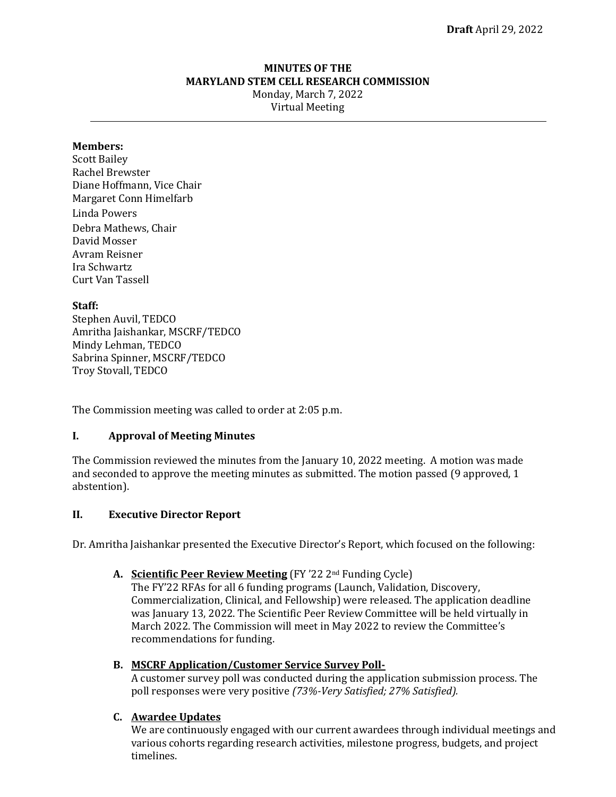### **MINUTES OF THE MARYLAND STEM CELL RESEARCH COMMISSION** Monday, March 7, 2022 Virtual Meeting

#### **Members:**

Scott Bailey Rachel Brewster Diane Hoffmann, Vice Chair Margaret Conn Himelfarb Linda Powers Debra Mathews, Chair David Mosser Avram Reisner Ira Schwartz Curt Van Tassell

#### **Staff:**

Stephen Auvil, TEDCO Amritha Jaishankar, MSCRF/TEDCO Mindy Lehman, TEDCO Sabrina Spinner, MSCRF/TEDCO Troy Stovall, TEDCO

The Commission meeting was called to order at 2:05 p.m.

### **I. Approval of Meeting Minutes**

The Commission reviewed the minutes from the January 10, 2022 meeting. A motion was made and seconded to approve the meeting minutes as submitted. The motion passed (9 approved, 1 abstention).

#### **II. Executive Director Report**

Dr. Amritha Jaishankar presented the Executive Director's Report, which focused on the following:

### **A. Scientific Peer Review Meeting** (FY '22 2nd Funding Cycle)

The FY'22 RFAs for all 6 funding programs (Launch, Validation, Discovery, Commercialization, Clinical, and Fellowship) were released. The application deadline was January 13, 2022. The Scientific Peer Review Committee will be held virtually in March 2022. The Commission will meet in May 2022 to review the Committee's recommendations for funding.

#### **B. MSCRF Application/Customer Service Survey Poll-**

A customer survey poll was conducted during the application submission process. The poll responses were very positive *(73%-Very Satisfied; 27% Satisfied).*

### **C. Awardee Updates**

We are continuously engaged with our current awardees through individual meetings and various cohorts regarding research activities, milestone progress, budgets, and project timelines.